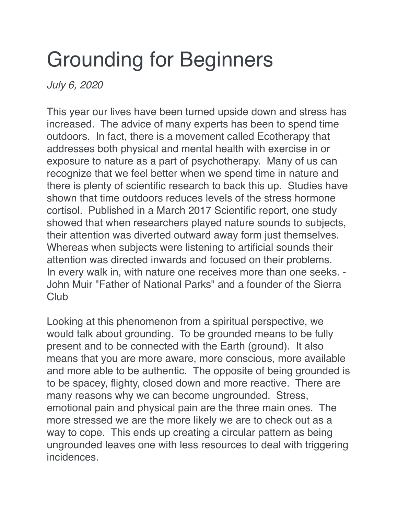## Grounding for Beginners

*July 6, 2020*

This year our lives have been turned upside down and stress has increased. The advice of many experts has been to spend time outdoors. In fact, there is a movement called Ecotherapy that addresses both physical and mental health with exercise in or exposure to nature as a part of psychotherapy. Many of us can recognize that we feel better when we spend time in nature and there is plenty of scientific research to back this up. Studies have shown that time outdoors reduces levels of the stress hormone cortisol. Published in a March 2017 Scientific report, one study showed that when researchers played nature sounds to subjects, their attention was diverted outward away form just themselves. Whereas when subjects were listening to artificial sounds their attention was directed inwards and focused on their problems. In every walk in, with nature one receives more than one seeks. - John Muir "Father of National Parks" and a founder of the Sierra **Club** 

Looking at this phenomenon from a spiritual perspective, we would talk about grounding. To be grounded means to be fully present and to be connected with the Earth (ground). It also means that you are more aware, more conscious, more available and more able to be authentic. The opposite of being grounded is to be spacey, flighty, closed down and more reactive. There are many reasons why we can become ungrounded. Stress, emotional pain and physical pain are the three main ones. The more stressed we are the more likely we are to check out as a way to cope. This ends up creating a circular pattern as being ungrounded leaves one with less resources to deal with triggering incidences.